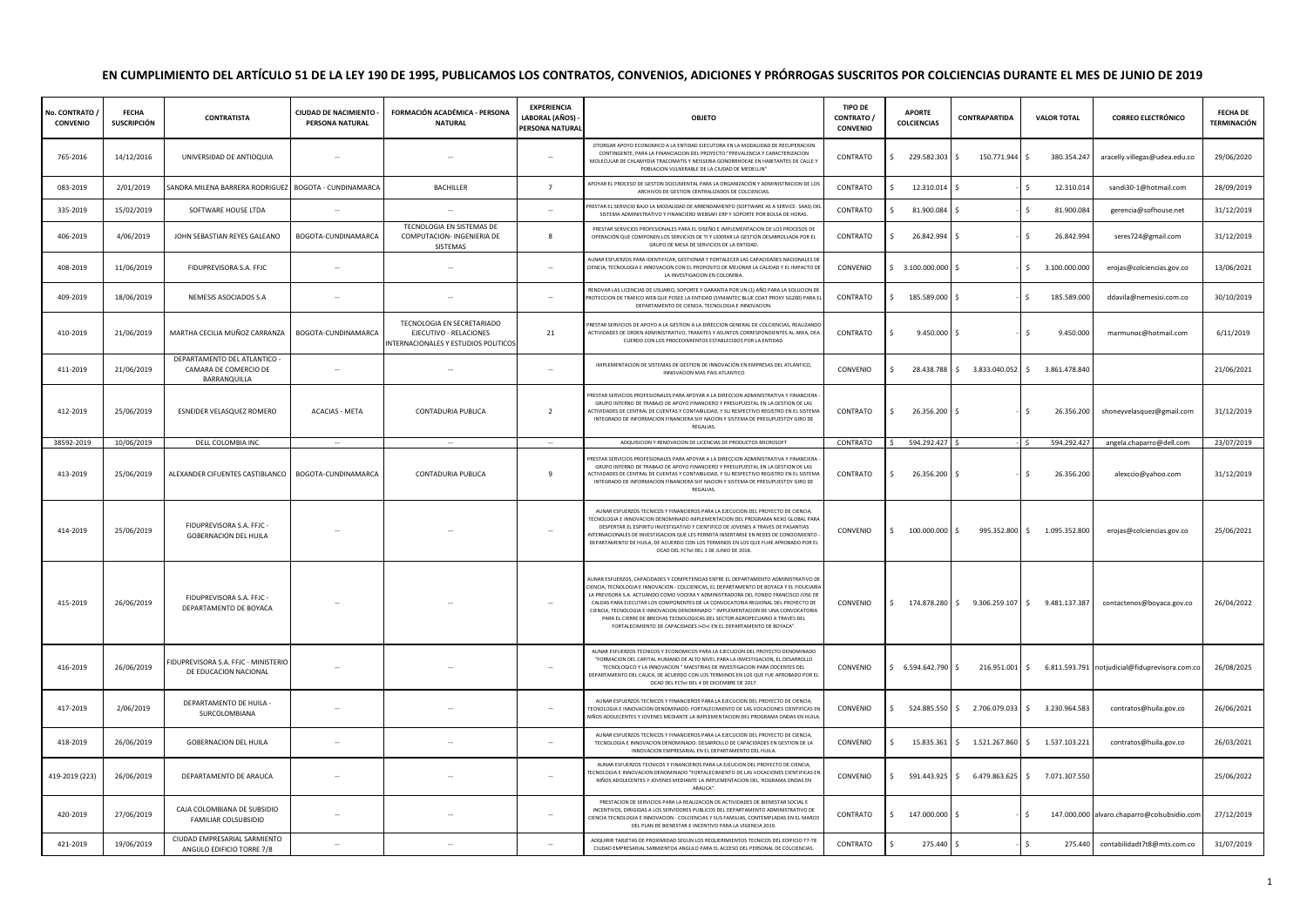## **EN CUMPLIMIENTO DEL ARTÍCULO 51 DE LA LEY 190 DE 1995, PUBLICAMOS LOS CONTRATOS, CONVENIOS, ADICIONES Y PRÓRROGAS SUSCRITOS POR COLCIENCIAS DURANTE EL MES DE JUNIO DE 2019**

| No. CONTRATO<br><b>CONVENIO</b> | <b>FECHA</b><br><b>SUSCRIPCIÓN</b> | <b>CONTRATISTA</b>                                                    | CIUDAD DE NACIMIENTO -<br>PERSONA NATURAL | FORMACIÓN ACADÉMICA - PERSONA<br><b>NATURAL</b>                                              | <b>EXPERIENCIA</b><br>LABORAL (AÑOS)<br>PERSONA NATURAL | OBJETO                                                                                                                                                                                                                                                                                                                                                                                                                                                                                                                                                                                                | <b>TIPO DE</b><br>CONTRATO /<br><b>CONVENIO</b> | <b>APORTE</b><br><b>COLCIENCIAS</b> | CONTRAPARTIDA                                 | <b>VALOR TOTAL</b>             | <b>CORREO ELECTRÓNICO</b>                                     | FECHA DE<br>TERMINACIÓN |
|---------------------------------|------------------------------------|-----------------------------------------------------------------------|-------------------------------------------|----------------------------------------------------------------------------------------------|---------------------------------------------------------|-------------------------------------------------------------------------------------------------------------------------------------------------------------------------------------------------------------------------------------------------------------------------------------------------------------------------------------------------------------------------------------------------------------------------------------------------------------------------------------------------------------------------------------------------------------------------------------------------------|-------------------------------------------------|-------------------------------------|-----------------------------------------------|--------------------------------|---------------------------------------------------------------|-------------------------|
| 765-2016                        | 14/12/2016                         | UNIVERSIDAD DE ANTIOQUIA                                              | $\sim$                                    | $\sim$                                                                                       | $\sim$                                                  | OTORGAR APOYO ECONOMICO A LA ENTIDAD EJECUTORA EN LA MODALIDAD DE RECUPERACION<br>CONTINGENTE, PARA LA FINANCIACION DEL PROYECTO:"PREVALENCIA Y CARACTERIZACION<br>MOLECULAR DE CHLAMYDIA TRACOMATIS Y NEISSERIA GONORRHOEAE EN HABITANTES DE CALLE Y<br>POBLACION VULNERABLE DE LA CIUDAD DE MEDELLIN"                                                                                                                                                                                                                                                                                               | CONTRATO                                        | 229.582.303 \$<br>s.                | 150.771.944 \$                                | 380.354.247                    | aracelly.villegas@udea.edu.co                                 | 29/06/2020              |
| 083-2019                        | 2/01/2019                          | SANDRA MILENA BARRERA RODRIGUEZ BOGOTA - CUNDINAMARCA                 |                                           | BACHILLER                                                                                    | $\overline{7}$                                          | APOYAR EL PROCESO DE GESTON DOCUMENTAL PARA LA ORGANIZACIÓN Y ADMINISTRACION DE LOS<br>ARCHIVOS DE GESTION CENTRALIZADOS DE COLCIENCIAS                                                                                                                                                                                                                                                                                                                                                                                                                                                               | CONTRATO                                        | 12.310.014<br>\$                    | l S                                           | 12.310.014<br>Ś.               | sandi30-1@hotmail.com                                         | 28/09/2019              |
| 335-2019                        | 15/02/2019                         | SOFTWARE HOUSE LTDA                                                   | $\sim$                                    |                                                                                              | $\overline{\phantom{a}}$                                | RESTAR EL SERVICIO BAJO LA MODALIDAD DE ARRENDAMIENTO (SOFTWARE AS A SERVICE- SAAS) DEL<br>SISTEMA ADMINISTRATIVO Y FINANCIERO WEBSAFI ERP Y SOPORTE POR BOLSA DE HORAS.                                                                                                                                                                                                                                                                                                                                                                                                                              | CONTRATO                                        | 81.900.084<br>Ś.                    | ΙŚ                                            | 81.900.084                     | gerencia@sofhouse.net                                         | 31/12/2019              |
| 406-2019                        | 4/06/2019                          | JOHN SEBASTIAN REYES GALEANO                                          | BOGOTA-CUNDINAMARCA                       | TECNOLOGIA EN SISTEMAS DE<br>COMPUTACION- INGENIERIA DE<br>SISTEMAS                          | 8                                                       | PRESTAR SERVICIOS PROFESIONALES PARA EL DISEÑO E IMPLEMENTACION DE LOS PROCESOS DE<br>OPERACIÓN QUE COMPONEN LOS SERVICIOS DE TI Y LIDERAR LA GESTION DESARROLLADA POR EL<br>GRUPO DE MESA DE SERVICIOS DE LA ENTIDAD.                                                                                                                                                                                                                                                                                                                                                                                | CONTRATO                                        | 26.842.994<br>s.                    |                                               | \$<br>26.842.994               | seres724@gmail.com                                            | 31/12/2019              |
| 408-2019                        | 11/06/2019                         | FIDUPREVISORA S.A. FFJC                                               |                                           |                                                                                              | $\sim$                                                  | AUNAR ESFUERZOS PARA IDENTIFICAR, GESTIONAR Y FORTALECER LAS CAPACIDADES NACIONALES DE<br>CIENCIA, TECNOLOGIA E INNOVACION CON EL PROPOSITO DE MEJORAR LA CALIDAD Y EL IMPACTO DE<br>LA INVESTIGACION EN COLOMBIA.                                                                                                                                                                                                                                                                                                                                                                                    | CONVENIO                                        | \$3.100.000.000\$                   |                                               | \$3.100.000.000                | erojas@colciencias.gov.co                                     | 13/06/2021              |
| 409-2019                        | 18/06/2019                         | NEMESIS ASOCIADOS S.A                                                 |                                           |                                                                                              |                                                         | RENOVAR LAS LICENCIAS DE USUARIO, SOPORTE Y GARANTIA POR UN (1) AÑO PARA LA SOLUCION DE<br>ROTECCION DE TRAFICO WEB QUE POSEE LA ENTIDAD (SYMANTEC BLUE COAT PROXY SG200) PARA EI<br>DEPARTAMENTO DE CIENCIA, TECNOLOGIA E INNOVACION.                                                                                                                                                                                                                                                                                                                                                                | CONTRATO                                        | 185.589.000<br>Ś.                   |                                               | 185.589.000                    | ddavila@nemesisi.com.co                                       | 30/10/2019              |
| 410-2019                        | 21/06/2019                         | MARTHA CECILIA MUÑOZ CARRANZA                                         | BOGOTA-CUNDINAMARCA                       | TECNOLOGIA EN SECRETARIADO<br>EJECUTIVO - RELACIONES<br>INTERNACIONALES Y ESTUDIOS POLITICOS | 21                                                      | RESTAR SERVICIOS DE APOYO A LA GESTION A LA DIRECCION GENERAL DE COLCIENCIAS, REALIZANDO<br>ACTIVIDADES DE ORDEN ADMINISTRATIVO, TRAMITES Y ASUNTOS CORRESPONDIENTES AL AREA, DEA<br>CUERDO CON LOS PROCEDIMIENTOS ESTABLECIDOS POR LA ENTIDAD.                                                                                                                                                                                                                                                                                                                                                       | CONTRATO                                        | $9.450.000$ \$<br>Ś.                |                                               | Ś.<br>9.450.000                | marmunoc@hotmail.com                                          | 6/11/2019               |
| 411-2019                        | 21/06/2019                         | DEPARTAMENTO DEL ATLANTICO -<br>CAMARA DE COMERCIO DE<br>BARRANQUILLA | $\sim$                                    | $\sim$                                                                                       | $\overline{\phantom{a}}$                                | IMPLEMENTACION DE SISTEMAS DE GESTION DE INNOVACION EN EMPRESAS DEL ATLANTICO,<br>INNOVACION MAS PAIS ATLANTICO                                                                                                                                                                                                                                                                                                                                                                                                                                                                                       | CONVENIO                                        | Ŝ.                                  | 28.438.788 \$ 3.833.040.052 \$ 3.861.478.840  |                                |                                                               | 21/06/2021              |
| 412-2019                        | 25/06/2019                         | ESNEIDER VELASQUEZ ROMERO                                             | <b>ACACIAS - META</b>                     | CONTADURIA PUBLICA                                                                           | $\overline{2}$                                          | RESTAR SERVICIOS PROFESIONALES PARA APOYAR A LA DIRECCION ADMINISTRATIVA Y FINANCIERA<br>GRUPO INTERNO DE TRABAJO DE APOYO FINANCIERO Y PRESUPUESTAL EN LA GESTION DE LAS<br>ACTIVIDADES DE CENTRAL DE CUENTAS Y CONTABILIDAD, Y SU RESPECTIVO REGISTRO EN EL SISTEMA<br>INTEGRADO DE INFORMACION FINANCIERA SIIF NACION Y SISTEMA DE PRESUPUESTOY GIRO DE<br>REGALIAS.                                                                                                                                                                                                                               | CONTRATO                                        | 26.356.200<br>\$                    |                                               | \$<br>26.356.200               | shoneyvelasquez@gmail.com                                     | 31/12/2019              |
| 38592-2019                      | 10/06/2019                         | DELL COLOMBIA INC                                                     |                                           |                                                                                              |                                                         | ADQUISICION Y RENOVACION DE LICENCIAS DE PRODUCTOS MICROSOFT                                                                                                                                                                                                                                                                                                                                                                                                                                                                                                                                          | CONTRATO                                        | 594.292.427                         |                                               | 594.292.427                    | angela.chaparro@dell.com                                      | 23/07/2019              |
| 413-2019                        | 25/06/2019                         | ALEXANDER CIFUENTES CASTIBLANCO                                       | BOGOTA-CUNDINAMARCA                       | CONTADURIA PUBLICA                                                                           | 9                                                       | PRESTAR SERVICIOS PROFESIONALES PARA APOYAR A LA DIRECCION ADMINISTRATIVA Y FINANCIERA<br>GRUPO INTERNO DE TRABAJO DE APOYO FINANCIERO Y PRESUPUESTAL EN LA GESTION DE LAS<br><b>ACTIVIDADES DE CENTRAL DE CUENTAS Y CONTABILIDAD, Y SU RESPECTIVO REGISTRO EN EL SISTEMA</b><br>INTEGRADO DE INFORMACION FINANCIERA SIIF NACION Y SISTEMA DE PRESUPUESTOY GIRO DE<br>REGALIAS.                                                                                                                                                                                                                       | CONTRATO                                        | 26.356.200                          |                                               | $\mathsf{s}$<br>26.356.200     | alexccio@yahoo.com                                            | 31/12/2019              |
| 414-2019                        | 25/06/2019                         | FIDUPREVISORA S.A. FEIC -<br><b>GOBERNACION DEL HUILA</b>             |                                           |                                                                                              | $\sim$                                                  | AUNAR ESEUERZOS TECNICOS Y FINANCIEROS PARA LA FIECUCIÓN DEL PROYECTO DE CIENCIA<br>TECNOLOGIA E INNOVACION DENOMINADO IMPLEMENTACION DEL PROGRAMA NEXO GLOBAL PARA<br>DESPERTAR EL ESPIRITU INVESTIGATIVO Y CIENTIFICO DE JOVENES A TRAVES DE PASANTIAS<br>NTERNACIONALES DE INVESTIGACION QUE LES PERMITA INSERTARSE EN REDES DE CONOCIMIENTO<br>DEPARTAMENTO DE HUILA, DE ACUERDO CON LOS TERMINOS EN LOS QUE FU4E APROBADO POR EL<br>OCAD DEL FCTel DEL 1 DE JUNIO DE 2018.                                                                                                                       | CONVENIO                                        | 100.000.000 \$                      |                                               | 995.352.800 \$ 1.095.352.800   | erojas@colciencias.gov.co                                     | 25/06/2021              |
| 415-2019                        | 26/06/2019                         | FIDUPREVISORA S.A. FFJC -<br>DEPARTAMENTO DE BOYACA                   |                                           |                                                                                              |                                                         | AUNAR ESFUERZOS, CAPACIDADES Y COMPETENCIAS ENTRE EL DEPARTAMENTO ADMINISTRATIVO DE<br>CIENCIA, TECNOLOGIA E INNOVACION - COLCIENICAS, EL DEPARTAMENTO DE BOYACA Y EL FIDUCIARIA<br>LA PREVISORA S.A. ACTUANDO COMO VOCERA Y ADMINISTRADORA DEL FONDO FRANCISCO JOSE DE<br>CALDAS PARA EJECUTAR LOS COMPONENTES DE LA CONVOCATORIA REGIONAL DEL PROYECTO DE<br>CIENCIA. TECNOLOGIA E INNOVACION DENOMINADO " IMPLEMENTACION DE UNA CONVOCATORIA<br>PARA EL CIERRE DE BRECHAS TECNOLOGICAS DEL SECTOR AGROPECUARIO A TRAVES DEL<br>FORTALECIMIENTO DE CAPACIDADES I+D+I EN EL DEPARTAMENTO DE BOYACA". | CONVENIO                                        |                                     | \$174.878.280 \$9.306.259.107 \$9.481.137.387 |                                | contactenos@boyaca.gov.co                                     | 26/04/2022              |
| 416-2019                        | 26/06/2019                         | FIDUPREVISORA S.A. FFJC - MINISTERIO<br>DE EDUCACION NACIONAL         |                                           |                                                                                              | $\sim$                                                  | AUNAR ESFUERZOS TECNICOS Y ECONOMICOS PARA LA EJECUCION DEL PROYECTO DENOMINADO<br>FORMACION DEL CAPITAL HUMANO DE ALTO NIVEL PARA LA INVESTIGACION, EL DESARROLLO<br>TECNOLOGICO Y LA INNOVACION " MAESTRIAS DE INVESTIGACION PARA DOCENTES DEL<br>DEPARTAMENTO DEL CAUCA, DE ACUERDO CON LOS TERMINOS EN LOS QUE FUE APROBADO POR EL<br>OCAD DEL FCTel DEL 4 DE DICIEMBRE DE 2017.                                                                                                                                                                                                                  | CONVENIO                                        | $$6.594.642.790$ \$                 |                                               |                                | 216.951.001 \$ 6.811.593.791 notjudicial@fiduprevisora.com.co | 26/08/2025              |
| 417-2019                        | 2/06/2019                          | DEPARTAMENTO DE HUILA -<br>SURCOLOMBIANA                              | $\sim$                                    |                                                                                              | $\overline{\phantom{a}}$                                | AUNAR ESFUERZOS TECNICOS Y FINANCIEROS PARA LA EJECUCIÓN DEL PROYECTO DE CIENCIA<br>TECNOLOGIA E INNOVACION DENOMINADO: FORTALECIMIENTO DE LAS VOCACIONES CIENTIFICAS EN<br>NIÑOS ADOLECENTES Y JOVENES MEDIANTE LA IMPLEMENTACION DEL PROGRAMA ONDAS EN HUILA                                                                                                                                                                                                                                                                                                                                        | CONVENIO                                        | 524.885.550<br>s.                   | l S                                           | 2.706.079.033 \$ 3.230.964.583 | contratos@huila.gov.co                                        | 26/06/2021              |
| 418-2019                        | 26/06/2019                         | <b>GOBERNACION DEL HUILA</b>                                          |                                           |                                                                                              | $\sim$                                                  | AUNAR ESFUERZOS TECNICOS Y FINANCIEROS PARA LA EJECUCIÓN DEL PROYECTO DE CIENCIA,<br>TECNOLOGIA E INNOVACION DENOMINADO: DESARROLLO DE CAPACIDADES EN GESTION DE LA<br>INNOVACION EMPRESARIAL EN EL DEPARTAMENTO DEL HUILA                                                                                                                                                                                                                                                                                                                                                                            | CONVENIO                                        | 15.835.361<br>s.                    | $\ddot{\mathsf{s}}$                           | 1.521.267.860 \$ 1.537.103.221 | contratos@huila.gov.co                                        | 26/03/2021              |
| 419-2019 (223)                  | 26/06/2019                         | DEPARTAMENTO DE ARAUCA                                                |                                           |                                                                                              | $\sim$                                                  | AUNAR ESFUERZOS TECNICOS Y FINANCIEROS PARA LA FIEUCIÓN DEL PROYECTO DE CIENCIA<br>CNOLOGIA E INNOVACION DENOMINADO "FORTALECIMIENTO DE LAS VOCACIONES CIENTIFICAS EN<br>NIÑOS ADOLECENTES Y JOVENES MEDIANTE LA IMPLEMENTACION DEL 'ROGRAMA ONDAS EN<br>ARAUCA"                                                                                                                                                                                                                                                                                                                                      | CONVENIO                                        | Š.                                  | 591.443.925 \$ 6.479.863.625 \$ 7.071.307.550 |                                |                                                               | 25/06/2022              |
| 420-2019                        | 27/06/2019                         | CAJA COLOMBIANA DE SUBSIDIO<br>FAMILIAR COLSUBSIDIO                   | $ -$                                      |                                                                                              | $\overline{\phantom{a}}$                                | PRESTACION DE SERVICIOS PARA LA REALIZACION DE ACTIVIDADES DE BIENESTAR SOCIAL E<br>INCENTIVOS, DIRIGIDAS A LOS SERVIDORES PUBLICOS DEL DEPARTAMENTO ADMINISTRATIVO DE<br>CIENCIA TECNOLOGIA E INNOVACION - COLCIENCIAS Y SUS FAMILIAS, CONTEMPLADAS EN EL MARCO<br>DEL PLAN DE BIENESTAR E INCENTIVO PARA LA VIGENCIA 2019.                                                                                                                                                                                                                                                                          | CONTRATO                                        | 147.000.000 \$<br>-S.               |                                               | IS.                            | 147.000.000 alvaro.chaparro@colsubsidio.com                   | 27/12/2019              |
| 421-2019                        | 19/06/2019                         | CIUDAD EMPRESARIAL SARMIENTO<br>ANGULO EDIFICIO TORRE 7/8             | $\sim$                                    |                                                                                              | $\sim$                                                  | ADQUIRIR TARJETAS DE PROXIMIDAD SEGUN LOS REQUERIMIENTOS TECNICOS DEL EDIFICIO T7-T8<br>CIUDAD EMPRESARIAL SARMIENTOA ANGULO PARA EL ACCESO DEL PERSONAL DE COLCIENCIAS.                                                                                                                                                                                                                                                                                                                                                                                                                              | CONTRATO                                        | 275.440 \$                          |                                               | s.<br>275.440                  | contabilidadt7t8@mts.com.co                                   | 31/07/2019              |